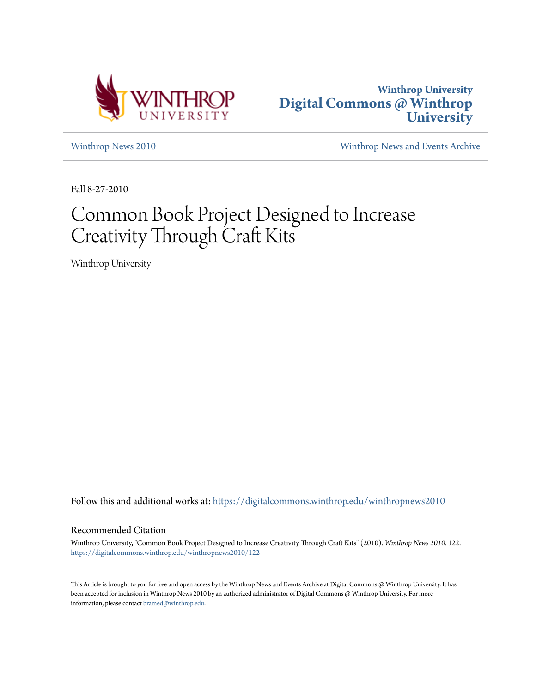



[Winthrop News 2010](https://digitalcommons.winthrop.edu/winthropnews2010?utm_source=digitalcommons.winthrop.edu%2Fwinthropnews2010%2F122&utm_medium=PDF&utm_campaign=PDFCoverPages) [Winthrop News and Events Archive](https://digitalcommons.winthrop.edu/winthropnewsarchives?utm_source=digitalcommons.winthrop.edu%2Fwinthropnews2010%2F122&utm_medium=PDF&utm_campaign=PDFCoverPages)

Fall 8-27-2010

## Common Book Project Designed to Increase Creativity Through Craft Kits

Winthrop University

Follow this and additional works at: [https://digitalcommons.winthrop.edu/winthropnews2010](https://digitalcommons.winthrop.edu/winthropnews2010?utm_source=digitalcommons.winthrop.edu%2Fwinthropnews2010%2F122&utm_medium=PDF&utm_campaign=PDFCoverPages)

## Recommended Citation

Winthrop University, "Common Book Project Designed to Increase Creativity Through Craft Kits" (2010). *Winthrop News 2010*. 122. [https://digitalcommons.winthrop.edu/winthropnews2010/122](https://digitalcommons.winthrop.edu/winthropnews2010/122?utm_source=digitalcommons.winthrop.edu%2Fwinthropnews2010%2F122&utm_medium=PDF&utm_campaign=PDFCoverPages)

This Article is brought to you for free and open access by the Winthrop News and Events Archive at Digital Commons @ Winthrop University. It has been accepted for inclusion in Winthrop News 2010 by an authorized administrator of Digital Commons @ Winthrop University. For more information, please contact [bramed@winthrop.edu](mailto:bramed@winthrop.edu).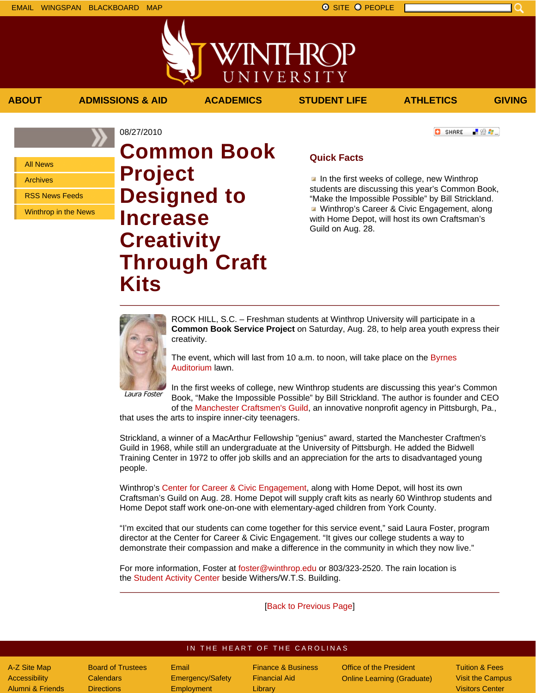■ 验母...]

**C** SHARE

All News

Archives

RSS News Feeds

Winthrop in the News

08/27/2010 **Common Book Project Designed to Increase Creativity Through Craft Kits**

## **Quick Facts**

**ABOUT ADMISSIONS & AID ACADEMICS STUDENT LIFE ATHLETICS GIVING**

WINTHROP

UNIVERSITY

In the first weeks of college, new Winthrop students are discussing this year's Common Book, "Make the Impossible Possible" by Bill Strickland. **Winthrop's Career & Civic Engagement, along** with Home Depot, will host its own Craftsman's Guild on Aug. 28.



ROCK HILL, S.C. – Freshman students at Winthrop University will participate in a **Common Book Service Project** on Saturday, Aug. 28, to help area youth express their creativity.

The event, which will last from 10 a.m. to noon, will take place on the Byrnes Auditorium lawn.

Laura Foster

In the first weeks of college, new Winthrop students are discussing this year's Common Book, "Make the Impossible Possible" by Bill Strickland. The author is founder and CEO of the Manchester Craftsmen's Guild, an innovative nonprofit agency in Pittsburgh, Pa.,

that uses the arts to inspire inner-city teenagers.

Strickland, a winner of a MacArthur Fellowship "genius" award, started the Manchester Craftmen's Guild in 1968, while still an undergraduate at the University of Pittsburgh. He added the Bidwell Training Center in 1972 to offer job skills and an appreciation for the arts to disadvantaged young people.

Winthrop's Center for Career & Civic Engagement, along with Home Depot, will host its own Craftsman's Guild on Aug. 28. Home Depot will supply craft kits as nearly 60 Winthrop students and Home Depot staff work one-on-one with elementary-aged children from York County.

"I'm excited that our students can come together for this service event," said Laura Foster, program director at the Center for Career & Civic Engagement. "It gives our college students a way to demonstrate their compassion and make a difference in the community in which they now live."

For more information, Foster at foster@winthrop.edu or 803/323-2520. The rain location is the Student Activity Center beside Withers/W.T.S. Building.

[Back to Previous Page]

## IN THE HEART OF THE CAROLINAS

A-Z Site Map **Accessibility** Alumni & Friends

Board of Trustees **Calendars Directions** 

Email Emergency/Safety **Employment** 

Finance & Business Financial Aid **Library** 

Office of the President Online Learning (Graduate) Tuition & Fees Visit the Campus Visitors Center